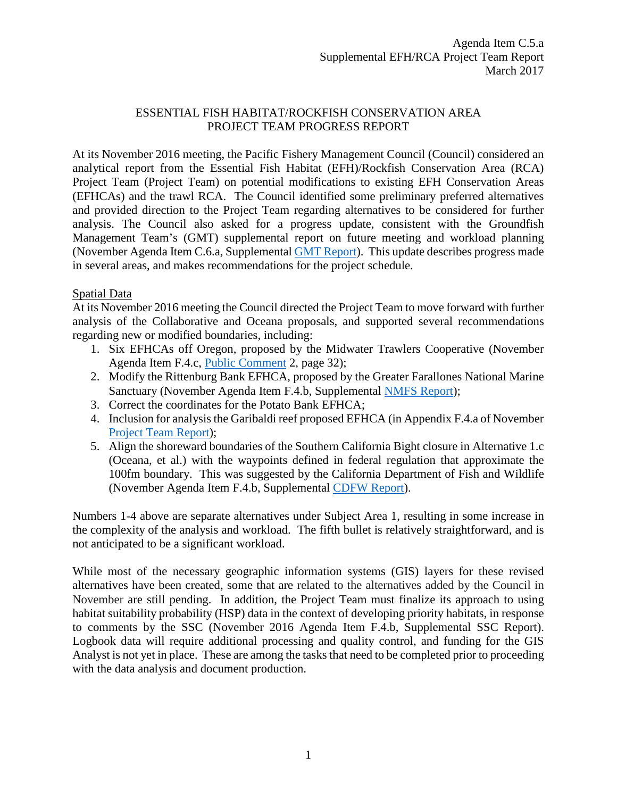# ESSENTIAL FISH HABITAT/ROCKFISH CONSERVATION AREA PROJECT TEAM PROGRESS REPORT

At its November 2016 meeting, the Pacific Fishery Management Council (Council) considered an analytical report from the Essential Fish Habitat (EFH)/Rockfish Conservation Area (RCA) Project Team (Project Team) on potential modifications to existing EFH Conservation Areas (EFHCAs) and the trawl RCA. The Council identified some preliminary preferred alternatives and provided direction to the Project Team regarding alternatives to be considered for further analysis. The Council also asked for a progress update, consistent with the Groundfish Management Team's (GMT) supplemental report on future meeting and workload planning (November Agenda Item C.6.a, Supplemental GMT [Report\)](http://www.pcouncil.org/wp-content/uploads/2016/11/C6a_Sup_GMT_NOV2016BB.pdf). This update describes progress made in several areas, and makes recommendations for the project schedule.

# Spatial Data

At its November 2016 meeting the Council directed the Project Team to move forward with further analysis of the Collaborative and Oceana proposals, and supported several recommendations regarding new or modified boundaries, including:

- 1. Six EFHCAs off Oregon, proposed by the Midwater Trawlers Cooperative (November Agenda Item F.4.c, [Public Comment](http://www.pcouncil.org/wp-content/uploads/2016/11/F4c_Sup_PubCom2_FULL_ELECTRONIC_ONLY_NOV2016BB.pdf) 2, page 32);
- 2. Modify the Rittenburg Bank EFHCA, proposed by the Greater Farallones National Marine Sanctuary (November Agenda Item F.4.b, Supplemental [NMFS Report\)](http://www.pcouncil.org/wp-content/uploads/2016/11/F4b_Sup_NMS_Ltr_EFH_to_PFMC_NOV2016BB.pdf);
- 3. Correct the coordinates for the Potato Bank EFHCA;
- 4. Inclusion for analysis the Garibaldi reef proposed EFHCA (in Appendix F.4.a of November [Project Team Report\)](http://www.pcouncil.org/wp-content/uploads/2016/11/F4a_Project_Team_Report_EFHRCA_Modifications_Analytical_Doc_NOV2016BB.pdf);
- 5. Align the shoreward boundaries of the Southern California Bight closure in Alternative 1.c (Oceana, et al.) with the waypoints defined in federal regulation that approximate the 100fm boundary. This was suggested by the California Department of Fish and Wildlife (November Agenda Item F.4.b, Supplemental [CDFW Report\)](http://www.pcouncil.org/wp-content/uploads/2016/11/F4b_Sup_CDFW_Rpt_NOV2016BB.pdf).

Numbers 1-4 above are separate alternatives under Subject Area 1, resulting in some increase in the complexity of the analysis and workload. The fifth bullet is relatively straightforward, and is not anticipated to be a significant workload.

While most of the necessary geographic information systems (GIS) layers for these revised alternatives have been created, some that are related to the alternatives added by the Council in November are still pending. In addition, the Project Team must finalize its approach to using habitat suitability probability (HSP) data in the context of developing priority habitats, in response to comments by the SSC (November 2016 Agenda Item F.4.b, Supplemental SSC Report). Logbook data will require additional processing and quality control, and funding for the GIS Analyst is not yet in place. These are among the tasks that need to be completed prior to proceeding with the data analysis and document production.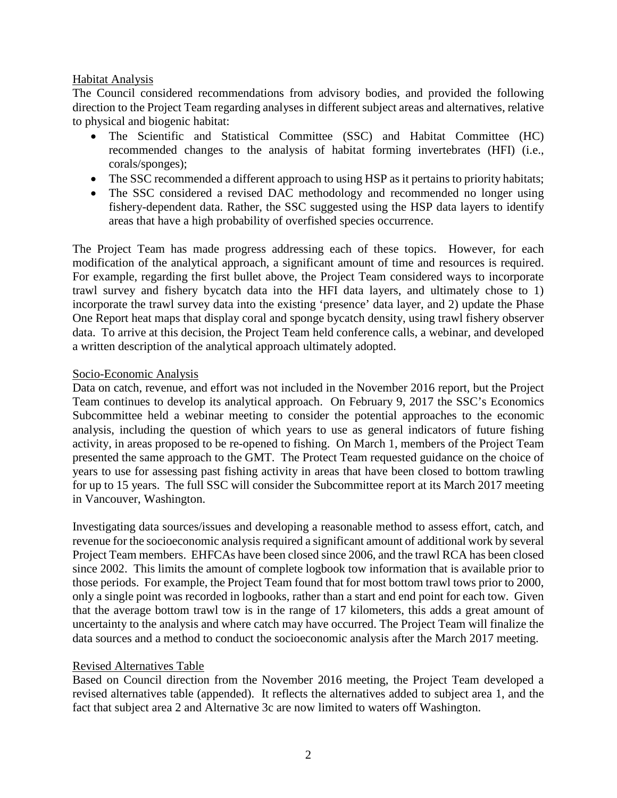## Habitat Analysis

The Council considered recommendations from advisory bodies, and provided the following direction to the Project Team regarding analyses in different subject areas and alternatives, relative to physical and biogenic habitat:

- The Scientific and Statistical Committee (SSC) and Habitat Committee (HC) recommended changes to the analysis of habitat forming invertebrates (HFI) (i.e., corals/sponges);
- The SSC recommended a different approach to using HSP as it pertains to priority habitats;
- The SSC considered a revised DAC methodology and recommended no longer using fishery-dependent data. Rather, the SSC suggested using the HSP data layers to identify areas that have a high probability of overfished species occurrence.

The Project Team has made progress addressing each of these topics. However, for each modification of the analytical approach, a significant amount of time and resources is required. For example, regarding the first bullet above, the Project Team considered ways to incorporate trawl survey and fishery bycatch data into the HFI data layers, and ultimately chose to 1) incorporate the trawl survey data into the existing 'presence' data layer, and 2) update the Phase One Report heat maps that display coral and sponge bycatch density, using trawl fishery observer data. To arrive at this decision, the Project Team held conference calls, a webinar, and developed a written description of the analytical approach ultimately adopted.

#### Socio-Economic Analysis

Data on catch, revenue, and effort was not included in the November 2016 report, but the Project Team continues to develop its analytical approach. On February 9, 2017 the SSC's Economics Subcommittee held a webinar meeting to consider the potential approaches to the economic analysis, including the question of which years to use as general indicators of future fishing activity, in areas proposed to be re-opened to fishing. On March 1, members of the Project Team presented the same approach to the GMT. The Protect Team requested guidance on the choice of years to use for assessing past fishing activity in areas that have been closed to bottom trawling for up to 15 years. The full SSC will consider the Subcommittee report at its March 2017 meeting in Vancouver, Washington.

Investigating data sources/issues and developing a reasonable method to assess effort, catch, and revenue for the socioeconomic analysis required a significant amount of additional work by several Project Team members. EHFCAs have been closed since 2006, and the trawl RCA has been closed since 2002. This limits the amount of complete logbook tow information that is available prior to those periods. For example, the Project Team found that for most bottom trawl tows prior to 2000, only a single point was recorded in logbooks, rather than a start and end point for each tow. Given that the average bottom trawl tow is in the range of 17 kilometers, this adds a great amount of uncertainty to the analysis and where catch may have occurred. The Project Team will finalize the data sources and a method to conduct the socioeconomic analysis after the March 2017 meeting.

## Revised Alternatives Table

Based on Council direction from the November 2016 meeting, the Project Team developed a revised alternatives table (appended). It reflects the alternatives added to subject area 1, and the fact that subject area 2 and Alternative 3c are now limited to waters off Washington.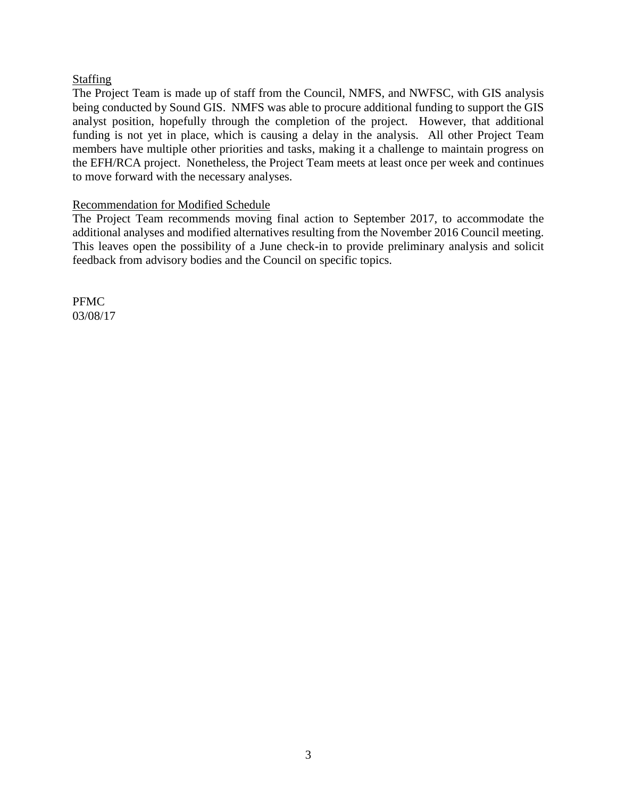# Staffing

The Project Team is made up of staff from the Council, NMFS, and NWFSC, with GIS analysis being conducted by Sound GIS. NMFS was able to procure additional funding to support the GIS analyst position, hopefully through the completion of the project. However, that additional funding is not yet in place, which is causing a delay in the analysis. All other Project Team members have multiple other priorities and tasks, making it a challenge to maintain progress on the EFH/RCA project. Nonetheless, the Project Team meets at least once per week and continues to move forward with the necessary analyses.

## Recommendation for Modified Schedule

The Project Team recommends moving final action to September 2017, to accommodate the additional analyses and modified alternatives resulting from the November 2016 Council meeting. This leaves open the possibility of a June check-in to provide preliminary analysis and solicit feedback from advisory bodies and the Council on specific topics.

PFMC 03/08/17